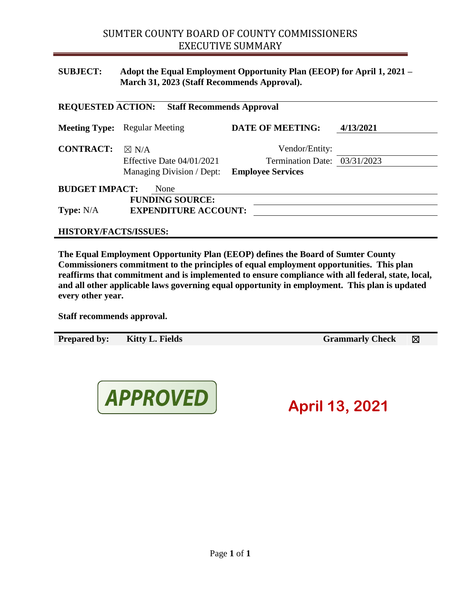# **SUBJECT: Adopt the Equal Employment Opportunity Plan (EEOP) for April 1, 2021 – March 31, 2023 (Staff Recommends Approval).**

| <b>REQUESTED ACTION:</b><br><b>Staff Recommends Approval</b> |                                      |                              |           |
|--------------------------------------------------------------|--------------------------------------|------------------------------|-----------|
|                                                              | <b>Meeting Type:</b> Regular Meeting | <b>DATE OF MEETING:</b>      | 4/13/2021 |
| <b>CONTRACT:</b>                                             | $\boxtimes$ N/A                      | Vendor/Entity:               |           |
|                                                              | Effective Date $04/01/2021$          | Termination Date: 03/31/2023 |           |
|                                                              | Managing Division / Dept:            | <b>Employee Services</b>     |           |
| <b>BUDGET IMPACT:</b><br>None                                |                                      |                              |           |
|                                                              | <b>FUNDING SOURCE:</b>               |                              |           |
| <b>Type:</b> $N/A$<br><b>EXPENDITURE ACCOUNT:</b>            |                                      |                              |           |
|                                                              |                                      |                              |           |

**HISTORY/FACTS/ISSUES:**

**The Equal Employment Opportunity Plan (EEOP) defines the Board of Sumter County Commissioners commitment to the principles of equal employment opportunities. This plan reaffirms that commitment and is implemented to ensure compliance with all federal, state, local, and all other applicable laws governing equal opportunity in employment. This plan is updated every other year.**

**Staff recommends approval.**

**Prepared by: Kitty L. Fields Grammarly Check** ⊠



**April 13, 2021**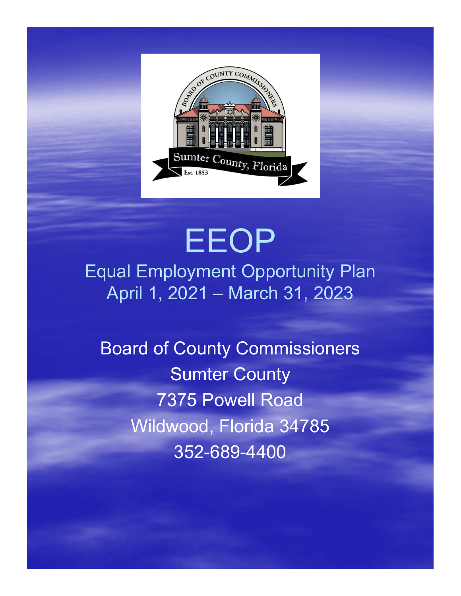

# EEOP Equal Employment Opportunity Plan April 1, 2021 – March 31, 2023

Board of County Commissioners Sumter County 7375 Powell Road Wildwood, Florida 34785 352-689-4400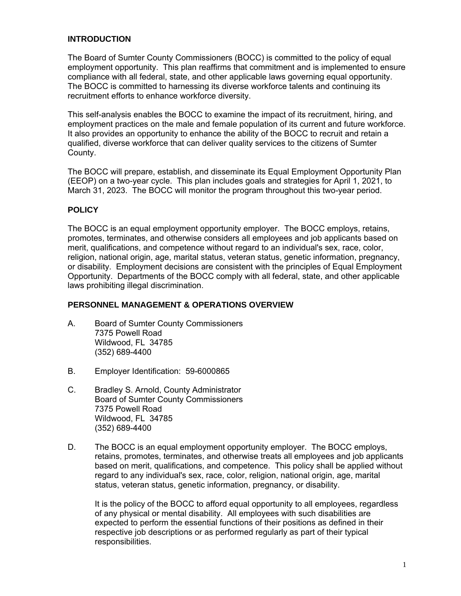#### **INTRODUCTION**

The Board of Sumter County Commissioners (BOCC) is committed to the policy of equal employment opportunity. This plan reaffirms that commitment and is implemented to ensure compliance with all federal, state, and other applicable laws governing equal opportunity. The BOCC is committed to harnessing its diverse workforce talents and continuing its recruitment efforts to enhance workforce diversity.

This self-analysis enables the BOCC to examine the impact of its recruitment, hiring, and employment practices on the male and female population of its current and future workforce. It also provides an opportunity to enhance the ability of the BOCC to recruit and retain a qualified, diverse workforce that can deliver quality services to the citizens of Sumter County.

The BOCC will prepare, establish, and disseminate its Equal Employment Opportunity Plan (EEOP) on a two-year cycle. This plan includes goals and strategies for April 1, 2021, to March 31, 2023. The BOCC will monitor the program throughout this two-year period.

#### **POLICY**

The BOCC is an equal employment opportunity employer. The BOCC employs, retains, promotes, terminates, and otherwise considers all employees and job applicants based on merit, qualifications, and competence without regard to an individual's sex, race, color, religion, national origin, age, marital status, veteran status, genetic information, pregnancy, or disability. Employment decisions are consistent with the principles of Equal Employment Opportunity. Departments of the BOCC comply with all federal, state, and other applicable laws prohibiting illegal discrimination.

#### **PERSONNEL MANAGEMENT & OPERATIONS OVERVIEW**

- A. Board of Sumter County Commissioners 7375 Powell Road Wildwood, FL 34785 (352) 689-4400
- B. Employer Identification: 59-6000865
- C. Bradley S. Arnold, County Administrator Board of Sumter County Commissioners 7375 Powell Road Wildwood, FL 34785 (352) 689-4400
- D. The BOCC is an equal employment opportunity employer. The BOCC employs, retains, promotes, terminates, and otherwise treats all employees and job applicants based on merit, qualifications, and competence. This policy shall be applied without regard to any individual's sex, race, color, religion, national origin, age, marital status, veteran status, genetic information, pregnancy, or disability.

It is the policy of the BOCC to afford equal opportunity to all employees, regardless of any physical or mental disability. All employees with such disabilities are expected to perform the essential functions of their positions as defined in their respective job descriptions or as performed regularly as part of their typical responsibilities.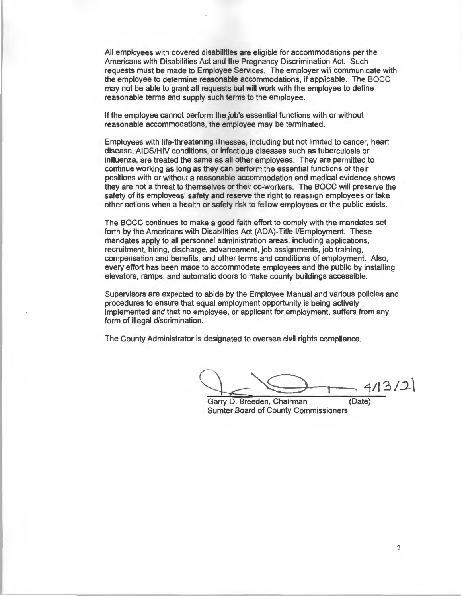All employees with covered disabilities are eligible for accommodations per the Americans with Disabilities Act and the Pregnancy Discrimination Act. Such requests must be made to Employee Services. The employer will communicate with the employee to determine reasonable accommodations, if applicable. The BOCC may not be able to grant all requests but will work with the employee to define reasonable terms and supply such terms to the employee.

If the employee cannot perform the job's essential functions with or without reasonable accommodations, the employee may be terminated.

Employees with life-threatening illnesses, including but not limited to cancer, heart disease, AIDS/HIV conditions, or infectious diseases such as tuberculosis or influenza, are treated the same as all other employees. They are permitted to continue working as long as they can perform the essential functions of their positions with or without a reasonable accommodation and medical evidence shows they are not a threat to themselves or their co-workers. The BOCC will preserve the safety of its employees' safety and reserve the right to reassign employees or take other actions when a health or safety risk to fellow employees or the public exists.

The BOCC continues to make a good faith effort to comply with the mandates set forth by the Americans with Disabilities Act (ADA)-Title I/Employment. These mandates apply to all personnel administration areas, including applications, recruitment, hiring, discharge, advancement, job assignments, job training, compensation and benefits, and other terms and conditions of employment. Also, every effort has been made to accommodate employees and the public by installing elevators, ramps, and automatic doors to make county buildings accessible.

Supervisors are expected to abide by the Employee Manual and various policies and procedures to ensure that equal employment opportunity is being actively implemented and that no employee, or applicant for employment, suffers from any form of illegal discrimination.

The County Administrator is designated to oversee civil rights compliance.

 $Q_{\leq}$  $-4/13/2$ 

Garry D. Breeden, Chairman Sumter Board of County Commissioners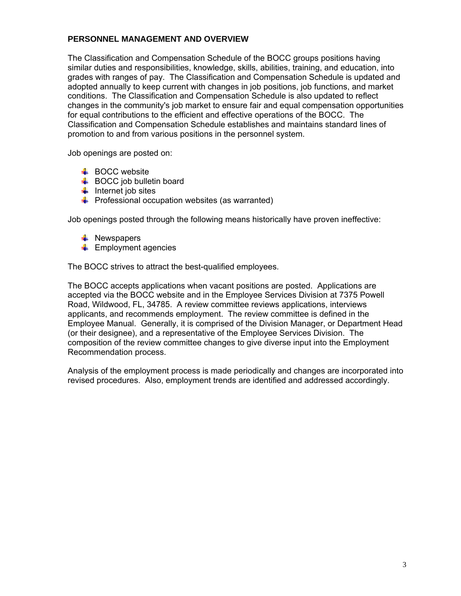### **PERSONNEL MANAGEMENT AND OVERVIEW**

The Classification and Compensation Schedule of the BOCC groups positions having similar duties and responsibilities, knowledge, skills, abilities, training, and education, into grades with ranges of pay. The Classification and Compensation Schedule is updated and adopted annually to keep current with changes in job positions, job functions, and market conditions. The Classification and Compensation Schedule is also updated to reflect changes in the community's job market to ensure fair and equal compensation opportunities for equal contributions to the efficient and effective operations of the BOCC. The Classification and Compensation Schedule establishes and maintains standard lines of promotion to and from various positions in the personnel system.

Job openings are posted on:

- $\overline{\phantom{a}}$  BOCC website
- $\bigstar$  BOCC job bulletin board
- $\frac{1}{2}$  Internet job sites
- $\bigstar$  Professional occupation websites (as warranted)

Job openings posted through the following means historically have proven ineffective:

- $\ddot{\bullet}$  Newspapers
- $\leftarrow$  Employment agencies

The BOCC strives to attract the best-qualified employees.

The BOCC accepts applications when vacant positions are posted. Applications are accepted via the BOCC website and in the Employee Services Division at 7375 Powell Road, Wildwood, FL, 34785. A review committee reviews applications, interviews applicants, and recommends employment. The review committee is defined in the Employee Manual. Generally, it is comprised of the Division Manager, or Department Head (or their designee), and a representative of the Employee Services Division. The composition of the review committee changes to give diverse input into the Employment Recommendation process.

Analysis of the employment process is made periodically and changes are incorporated into revised procedures. Also, employment trends are identified and addressed accordingly.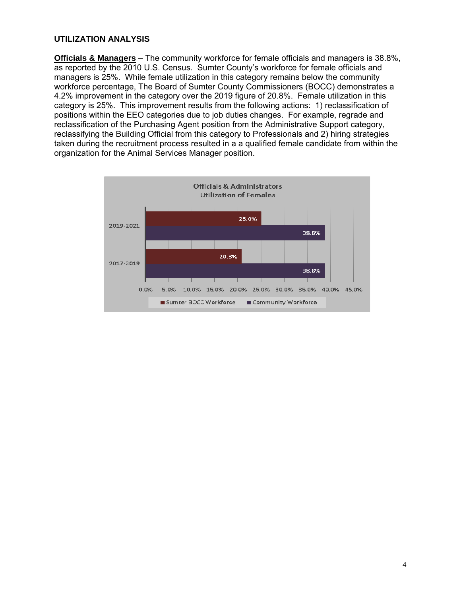#### **UTILIZATION ANALYSIS**

**Officials & Managers** – The community workforce for female officials and managers is 38.8%, as reported by the 2010 U.S. Census. Sumter County's workforce for female officials and managers is 25%. While female utilization in this category remains below the community workforce percentage, The Board of Sumter County Commissioners (BOCC) demonstrates a 4.2% improvement in the category over the 2019 figure of 20.8%. Female utilization in this category is 25%. This improvement results from the following actions: 1) reclassification of positions within the EEO categories due to job duties changes. For example, regrade and reclassification of the Purchasing Agent position from the Administrative Support category, reclassifying the Building Official from this category to Professionals and 2) hiring strategies taken during the recruitment process resulted in a a qualified female candidate from within the organization for the Animal Services Manager position.

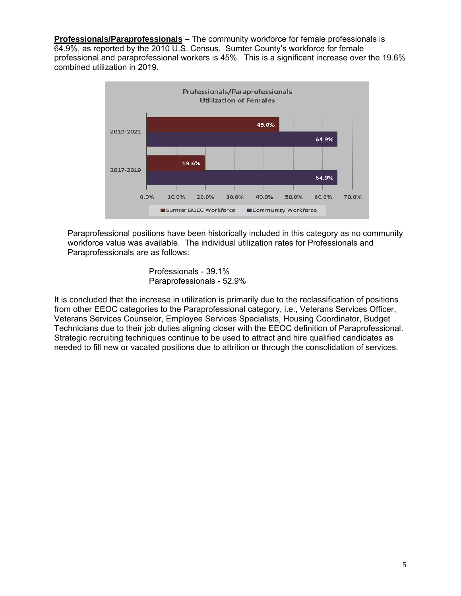**Professionals/Paraprofessionals** – The community workforce for female professionals is 64.9%, as reported by the 2010 U.S. Census. Sumter County's workforce for female professional and paraprofessional workers is 45%. This is a significant increase over the 19.6% combined utilization in 2019.



Paraprofessional positions have been historically included in this category as no community workforce value was available. The individual utilization rates for Professionals and Paraprofessionals are as follows:

> Professionals - 39.1% Paraprofessionals - 52.9%

It is concluded that the increase in utilization is primarily due to the reclassification of positions from other EEOC categories to the Paraprofessional category, i.e., Veterans Services Officer, Veterans Services Counselor, Employee Services Specialists, Housing Coordinator, Budget Technicians due to their job duties aligning closer with the EEOC definition of Paraprofessional. Strategic recruiting techniques continue to be used to attract and hire qualified candidates as needed to fill new or vacated positions due to attrition or through the consolidation of services.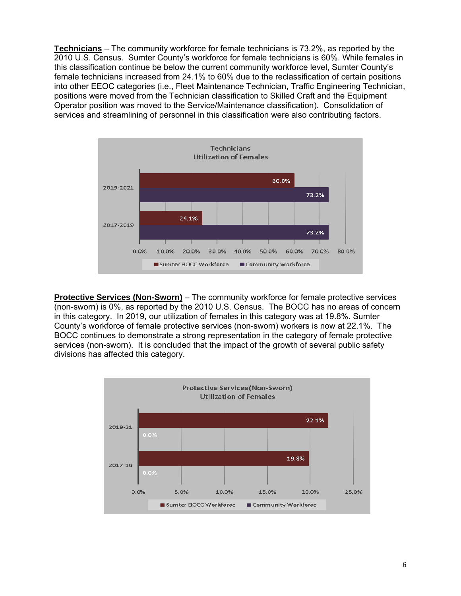**Technicians** – The community workforce for female technicians is 73.2%, as reported by the 2010 U.S. Census. Sumter County's workforce for female technicians is 60%. While females in this classification continue be below the current community workforce level, Sumter County's female technicians increased from 24.1% to 60% due to the reclassification of certain positions into other EEOC categories (i.e., Fleet Maintenance Technician, Traffic Engineering Technician, positions were moved from the Technician classification to Skilled Craft and the Equipment Operator position was moved to the Service/Maintenance classification). Consolidation of services and streamlining of personnel in this classification were also contributing factors.



**Protective Services (Non-Sworn)** – The community workforce for female protective services (non-sworn) is 0%, as reported by the 2010 U.S. Census. The BOCC has no areas of concern in this category. In 2019, our utilization of females in this category was at 19.8%. Sumter County's workforce of female protective services (non-sworn) workers is now at 22.1%. The BOCC continues to demonstrate a strong representation in the category of female protective services (non-sworn). It is concluded that the impact of the growth of several public safety divisions has affected this category.

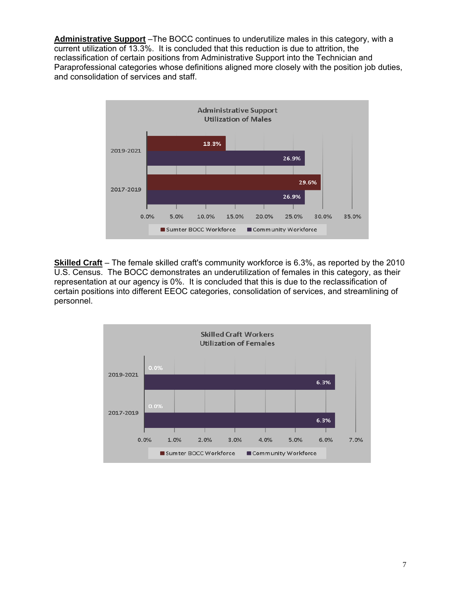**Administrative Support** –The BOCC continues to underutilize males in this category, with a current utilization of 13.3%. It is concluded that this reduction is due to attrition, the reclassification of certain positions from Administrative Support into the Technician and Paraprofessional categories whose definitions aligned more closely with the position job duties, and consolidation of services and staff.



**Skilled Craft** – The female skilled craft's community workforce is 6.3%, as reported by the 2010 U.S. Census. The BOCC demonstrates an underutilization of females in this category, as their representation at our agency is 0%. It is concluded that this is due to the reclassification of certain positions into different EEOC categories, consolidation of services, and streamlining of personnel.

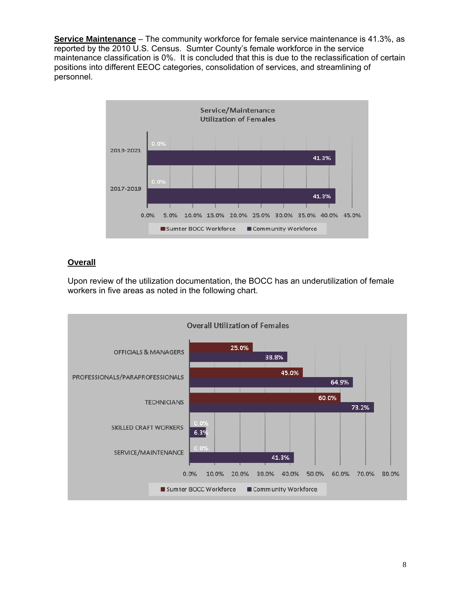**Service Maintenance** – The community workforce for female service maintenance is 41.3%, as reported by the 2010 U.S. Census. Sumter County's female workforce in the service maintenance classification is 0%. It is concluded that this is due to the reclassification of certain positions into different EEOC categories, consolidation of services, and streamlining of personnel.



# **Overall**

Upon review of the utilization documentation, the BOCC has an underutilization of female workers in five areas as noted in the following chart.

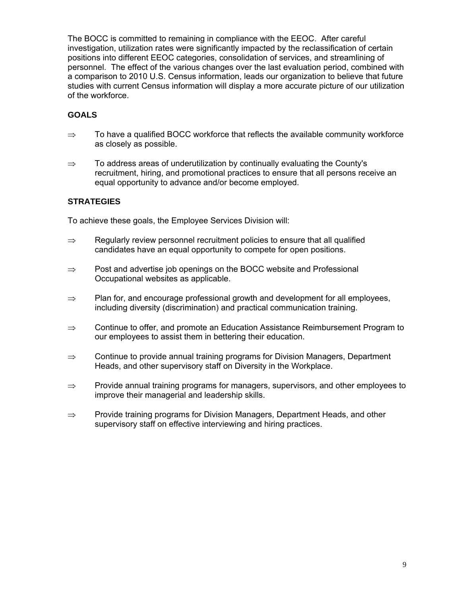The BOCC is committed to remaining in compliance with the EEOC. After careful investigation, utilization rates were significantly impacted by the reclassification of certain positions into different EEOC categories, consolidation of services, and streamlining of personnel. The effect of the various changes over the last evaluation period, combined with a comparison to 2010 U.S. Census information, leads our organization to believe that future studies with current Census information will display a more accurate picture of our utilization of the workforce.

### **GOALS**

- $\Rightarrow$  To have a qualified BOCC workforce that reflects the available community workforce as closely as possible.
- $\Rightarrow$  To address areas of underutilization by continually evaluating the County's recruitment, hiring, and promotional practices to ensure that all persons receive an equal opportunity to advance and/or become employed.

## **STRATEGIES**

To achieve these goals, the Employee Services Division will:

- $\Rightarrow$  Regularly review personnel recruitment policies to ensure that all qualified candidates have an equal opportunity to compete for open positions.
- $\Rightarrow$  Post and advertise job openings on the BOCC website and Professional Occupational websites as applicable.
- $\Rightarrow$  Plan for, and encourage professional growth and development for all employees, including diversity (discrimination) and practical communication training.
- $\Rightarrow$  Continue to offer, and promote an Education Assistance Reimbursement Program to our employees to assist them in bettering their education.
- $\Rightarrow$  Continue to provide annual training programs for Division Managers, Department Heads, and other supervisory staff on Diversity in the Workplace.
- $\Rightarrow$  Provide annual training programs for managers, supervisors, and other employees to improve their managerial and leadership skills.
- $\Rightarrow$  Provide training programs for Division Managers, Department Heads, and other supervisory staff on effective interviewing and hiring practices.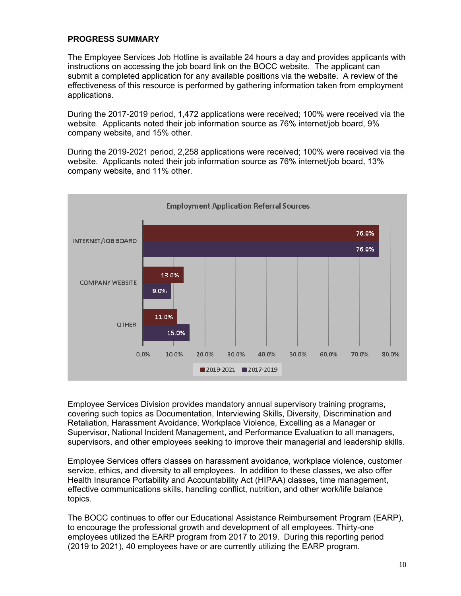#### **PROGRESS SUMMARY**

The Employee Services Job Hotline is available 24 hours a day and provides applicants with instructions on accessing the job board link on the BOCC website. The applicant can submit a completed application for any available positions via the website. A review of the effectiveness of this resource is performed by gathering information taken from employment applications.

During the 2017-2019 period, 1,472 applications were received; 100% were received via the website. Applicants noted their job information source as 76% internet/job board, 9% company website, and 15% other.

During the 2019-2021 period, 2,258 applications were received; 100% were received via the website. Applicants noted their job information source as 76% internet/job board, 13% company website, and 11% other.



Employee Services Division provides mandatory annual supervisory training programs, covering such topics as Documentation, Interviewing Skills, Diversity, Discrimination and Retaliation, Harassment Avoidance, Workplace Violence, Excelling as a Manager or Supervisor, National Incident Management, and Performance Evaluation to all managers, supervisors, and other employees seeking to improve their managerial and leadership skills.

Employee Services offers classes on harassment avoidance, workplace violence, customer service, ethics, and diversity to all employees. In addition to these classes, we also offer Health Insurance Portability and Accountability Act (HIPAA) classes, time management, effective communications skills, handling conflict, nutrition, and other work/life balance topics.

The BOCC continues to offer our Educational Assistance Reimbursement Program (EARP), to encourage the professional growth and development of all employees. Thirty-one employees utilized the EARP program from 2017 to 2019. During this reporting period (2019 to 2021), 40 employees have or are currently utilizing the EARP program.